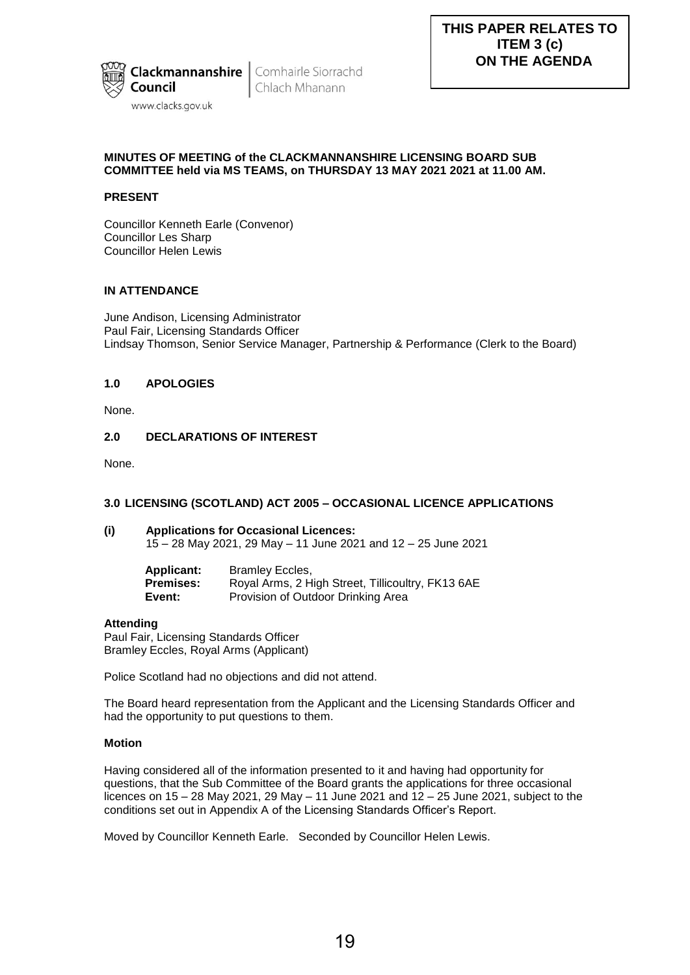

Chlach Mhanann

# **MINUTES OF MEETING of the CLACKMANNANSHIRE LICENSING BOARD SUB COMMITTEE held via MS TEAMS, on THURSDAY 13 MAY 2021 2021 at 11.00 AM.**

# **PRESENT**

Councillor Kenneth Earle (Convenor) Councillor Les Sharp Councillor Helen Lewis

## **IN ATTENDANCE**

June Andison, Licensing Administrator Paul Fair, Licensing Standards Officer Lindsay Thomson, Senior Service Manager, Partnership & Performance (Clerk to the Board)

## **1.0 APOLOGIES**

None.

## **2.0 DECLARATIONS OF INTEREST**

None.

## **3.0 LICENSING (SCOTLAND) ACT 2005 – OCCASIONAL LICENCE APPLICATIONS**

#### **(i) Applications for Occasional Licences:**  15 – 28 May 2021, 29 May – 11 June 2021 and 12 – 25 June 2021

| <b>Applicant:</b> | Bramley Eccles,                                   |
|-------------------|---------------------------------------------------|
| <b>Premises:</b>  | Royal Arms, 2 High Street, Tillicoultry, FK13 6AE |
| Event:            | Provision of Outdoor Drinking Area                |

#### **Attending**

Paul Fair, Licensing Standards Officer Bramley Eccles, Royal Arms (Applicant)

Police Scotland had no objections and did not attend.

The Board heard representation from the Applicant and the Licensing Standards Officer and had the opportunity to put questions to them.

#### **Motion**

Having considered all of the information presented to it and having had opportunity for questions, that the Sub Committee of the Board grants the applications for three occasional licences on 15 – 28 May 2021, 29 May – 11 June 2021 and 12 – 25 June 2021, subject to the conditions set out in Appendix A of the Licensing Standards Officer's Report.

Moved by Councillor Kenneth Earle. Seconded by Councillor Helen Lewis.